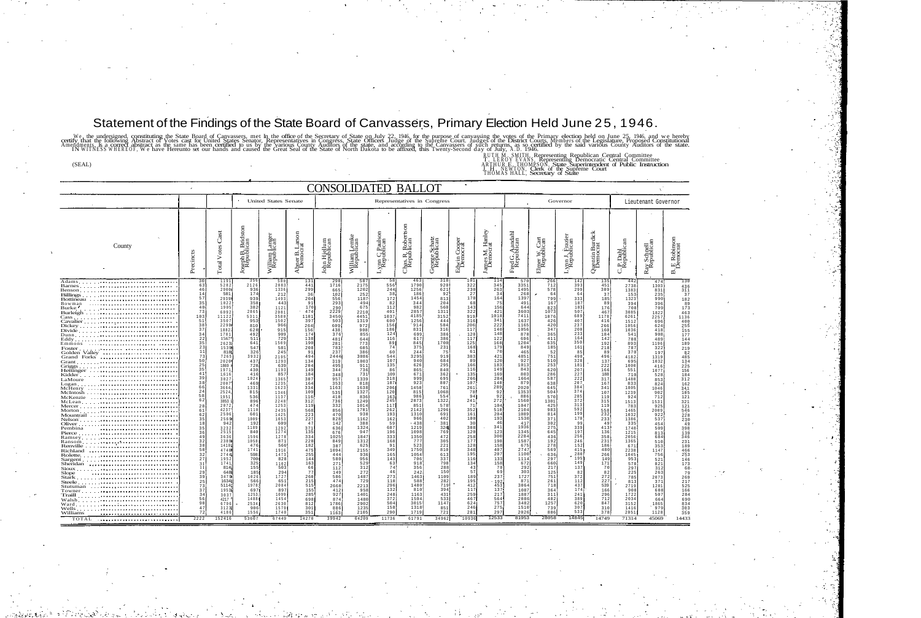Statement of the Findings of the State Board of Canvassers, Primary Election Held June 25 , 1946.

We, the undersigned, constituting the State Board of Canvassers, met In the office of the Secretary of State on July 22, 1946, for the purpose of canvassing the votes of the Primary election held on June 25, 1946, and we h

RUTH M. SMITH, Representing Republican Central Committee<br>
T. LEROY EVANS, Representing Democratic Central Committee<br>
ARTHURE THOMAS HALL, Secretary of State<br>
THOMAS HALL, Secretary of State

|                                                                                                                                                                                                                                                                                                                                                                                                                                                                                                                                                                                                                                                                                                                                                                                                                                                                                                                                                                                                                                                                                                                                                                                              |                                                                                                                                                                                                                                                                                                                                                                                                                                                                                                                                                                                                                               |                                                                                                                                                                                                                                                                                                                                                                                                                                                    |                                                                                                                                                                                                                                                                                                                                                                                                                           |                                                                                                                                                                                                                                                                                                                                                                                                                            |                                                                                                                                                                                                                                                                                                                                                                                                                                 | <b>CONSOLIDATED BALLOT</b>                                                                                                                                                                                                                                                                                                                                                                         |                                                                                                                                                                                                                                                                                                                                                                                                                    |                                                                                                                                                                                                                                                                                                                                                                                                       |                                                                                                                                                                                                                                                                                                                                                                                                                  |                                                                                                                                                                                                                                                                                                                                                                                                |                                                                                                                                                                                                                                                                                                                                                                                                                                                               |                                                                                                                                                                                                                                                                                                                                                                                                                                                                            |                                                                                                                                                                                                                                                                                                                                                                                                                                     |                                                                                                                                                                                                                                                                                                                                                                                                                         |                                                                                                                                                                                                                                                                                                                                                                                                                                                                                                       |                                                                                                                                                                                                                                                                                                                                                                                                                                               |                                                                                                                                                                                                                                                                                                                                                                                                                                                              |                                                                                                                                                                                                                                                                                                                                                                                                                             |                                                                                                                                                                                                                                                                                                                                                                                                                                                      |
|----------------------------------------------------------------------------------------------------------------------------------------------------------------------------------------------------------------------------------------------------------------------------------------------------------------------------------------------------------------------------------------------------------------------------------------------------------------------------------------------------------------------------------------------------------------------------------------------------------------------------------------------------------------------------------------------------------------------------------------------------------------------------------------------------------------------------------------------------------------------------------------------------------------------------------------------------------------------------------------------------------------------------------------------------------------------------------------------------------------------------------------------------------------------------------------------|-------------------------------------------------------------------------------------------------------------------------------------------------------------------------------------------------------------------------------------------------------------------------------------------------------------------------------------------------------------------------------------------------------------------------------------------------------------------------------------------------------------------------------------------------------------------------------------------------------------------------------|----------------------------------------------------------------------------------------------------------------------------------------------------------------------------------------------------------------------------------------------------------------------------------------------------------------------------------------------------------------------------------------------------------------------------------------------------|---------------------------------------------------------------------------------------------------------------------------------------------------------------------------------------------------------------------------------------------------------------------------------------------------------------------------------------------------------------------------------------------------------------------------|----------------------------------------------------------------------------------------------------------------------------------------------------------------------------------------------------------------------------------------------------------------------------------------------------------------------------------------------------------------------------------------------------------------------------|---------------------------------------------------------------------------------------------------------------------------------------------------------------------------------------------------------------------------------------------------------------------------------------------------------------------------------------------------------------------------------------------------------------------------------|----------------------------------------------------------------------------------------------------------------------------------------------------------------------------------------------------------------------------------------------------------------------------------------------------------------------------------------------------------------------------------------------------|--------------------------------------------------------------------------------------------------------------------------------------------------------------------------------------------------------------------------------------------------------------------------------------------------------------------------------------------------------------------------------------------------------------------|-------------------------------------------------------------------------------------------------------------------------------------------------------------------------------------------------------------------------------------------------------------------------------------------------------------------------------------------------------------------------------------------------------|------------------------------------------------------------------------------------------------------------------------------------------------------------------------------------------------------------------------------------------------------------------------------------------------------------------------------------------------------------------------------------------------------------------|------------------------------------------------------------------------------------------------------------------------------------------------------------------------------------------------------------------------------------------------------------------------------------------------------------------------------------------------------------------------------------------------|---------------------------------------------------------------------------------------------------------------------------------------------------------------------------------------------------------------------------------------------------------------------------------------------------------------------------------------------------------------------------------------------------------------------------------------------------------------|----------------------------------------------------------------------------------------------------------------------------------------------------------------------------------------------------------------------------------------------------------------------------------------------------------------------------------------------------------------------------------------------------------------------------------------------------------------------------|-------------------------------------------------------------------------------------------------------------------------------------------------------------------------------------------------------------------------------------------------------------------------------------------------------------------------------------------------------------------------------------------------------------------------------------|-------------------------------------------------------------------------------------------------------------------------------------------------------------------------------------------------------------------------------------------------------------------------------------------------------------------------------------------------------------------------------------------------------------------------|-------------------------------------------------------------------------------------------------------------------------------------------------------------------------------------------------------------------------------------------------------------------------------------------------------------------------------------------------------------------------------------------------------------------------------------------------------------------------------------------------------|-----------------------------------------------------------------------------------------------------------------------------------------------------------------------------------------------------------------------------------------------------------------------------------------------------------------------------------------------------------------------------------------------------------------------------------------------|--------------------------------------------------------------------------------------------------------------------------------------------------------------------------------------------------------------------------------------------------------------------------------------------------------------------------------------------------------------------------------------------------------------------------------------------------------------|-----------------------------------------------------------------------------------------------------------------------------------------------------------------------------------------------------------------------------------------------------------------------------------------------------------------------------------------------------------------------------------------------------------------------------|------------------------------------------------------------------------------------------------------------------------------------------------------------------------------------------------------------------------------------------------------------------------------------------------------------------------------------------------------------------------------------------------------------------------------------------------------|
|                                                                                                                                                                                                                                                                                                                                                                                                                                                                                                                                                                                                                                                                                                                                                                                                                                                                                                                                                                                                                                                                                                                                                                                              |                                                                                                                                                                                                                                                                                                                                                                                                                                                                                                                                                                                                                               |                                                                                                                                                                                                                                                                                                                                                                                                                                                    |                                                                                                                                                                                                                                                                                                                                                                                                                           | <b>United States Senate</b>                                                                                                                                                                                                                                                                                                                                                                                                |                                                                                                                                                                                                                                                                                                                                                                                                                                 |                                                                                                                                                                                                                                                                                                                                                                                                    |                                                                                                                                                                                                                                                                                                                                                                                                                    |                                                                                                                                                                                                                                                                                                                                                                                                       | Representatives in Congress                                                                                                                                                                                                                                                                                                                                                                                      |                                                                                                                                                                                                                                                                                                                                                                                                |                                                                                                                                                                                                                                                                                                                                                                                                                                                               |                                                                                                                                                                                                                                                                                                                                                                                                                                                                            | Governor                                                                                                                                                                                                                                                                                                                                                                                                                            |                                                                                                                                                                                                                                                                                                                                                                                                                         |                                                                                                                                                                                                                                                                                                                                                                                                                                                                                                       |                                                                                                                                                                                                                                                                                                                                                                                                                                               | Lieutenant Governor                                                                                                                                                                                                                                                                                                                                                                                                                                          |                                                                                                                                                                                                                                                                                                                                                                                                                             |                                                                                                                                                                                                                                                                                                                                                                                                                                                      |
| County                                                                                                                                                                                                                                                                                                                                                                                                                                                                                                                                                                                                                                                                                                                                                                                                                                                                                                                                                                                                                                                                                                                                                                                       | Precincts                                                                                                                                                                                                                                                                                                                                                                                                                                                                                                                                                                                                                     | Total Votes Cast                                                                                                                                                                                                                                                                                                                                                                                                                                   | oseph B. Bridston<br>Republican                                                                                                                                                                                                                                                                                                                                                                                           | William Langer<br>Republican                                                                                                                                                                                                                                                                                                                                                                                               | bner B. Larson<br>Democrat                                                                                                                                                                                                                                                                                                                                                                                                      | John Hjellum<br>Republican                                                                                                                                                                                                                                                                                                                                                                         | William Lemke<br>Republican                                                                                                                                                                                                                                                                                                                                                                                        | $\mathcal{L}_{\text{Ynn}}$ C Paulson<br>Republican                                                                                                                                                                                                                                                                                                                                                    | Chas. R. Robertson<br>Republican                                                                                                                                                                                                                                                                                                                                                                                 | George Schatz<br>Republican                                                                                                                                                                                                                                                                                                                                                                    | Edwin Cooper<br>Democrat                                                                                                                                                                                                                                                                                                                                                                                                                                      | James M. Hanley                                                                                                                                                                                                                                                                                                                                                                                                                                                            | Fred G. Aandahl<br>Republican                                                                                                                                                                                                                                                                                                                                                                                                       | Elmer W. Cart<br>Republican                                                                                                                                                                                                                                                                                                                                                                                             | Lynn J. Frazier<br>Republican                                                                                                                                                                                                                                                                                                                                                                                                                                                                         | Quentin Burdick<br>Democrat                                                                                                                                                                                                                                                                                                                                                                                                                   | P. Dahl<br>Republican<br>$\vec{c}$                                                                                                                                                                                                                                                                                                                                                                                                                           | Ray Schnell<br>Republican                                                                                                                                                                                                                                                                                                                                                                                                   | .E Robinson<br>Democrat<br>ட்                                                                                                                                                                                                                                                                                                                                                                                                                        |
| Adams<br>Barnes<br>Benson .<br>Billings<br>Bowman<br>Burke.'<br>$\frac{1}{2}$ , $\frac{1}{2}$ , $\frac{1}{2}$ , $\frac{1}{2}$ , $\frac{1}{2}$ , $\frac{1}{2}$ , $\frac{1}{2}$ , $\frac{1}{2}$ , $\frac{1}{2}$ , $\frac{1}{2}$ , $\frac{1}{2}$ , $\frac{1}{2}$ , $\frac{1}{2}$ , $\frac{1}{2}$ , $\frac{1}{2}$ , $\frac{1}{2}$ , $\frac{1}{2}$ , $\frac{1}{2}$ , $\frac{1$<br>Burleigh<br>Cass .<br>$\text{Dickey}$<br>Divide.<br>Eddy.<br>Emmons<br>Foster<br>Golden Valley<br>Grand Forks<br>Grant .<br>Griggs<br>LaMoure<br>Logan<br>McHenry<br>McKenzie<br>Mercer<br>Morton<br>Nelson <sup>1</sup><br>Oliver<br>Pembina<br><b>Pierce</b><br>Ramsey<br>بالمحاجة والمحاجبة والمحاجة والمحاجة ويحاجج والمحاجر الرازان<br>Ransom<br>Richland<br>Rolette<br>Sargent<br>Sheridan<br>Sioux<br>Slope<br>Stark<br>$\frac{1}{2}$ , $\frac{1}{2}$ , $\frac{1}{2}$ , $\frac{1}{2}$ , $\frac{1}{2}$ , $\frac{1}{2}$ , $\frac{1}{2}$ , $\frac{1}{2}$ , $\frac{1}{2}$ , $\frac{1}{2}$ , $\frac{1}{2}$ , $\frac{1}{2}$ , $\frac{1}{2}$ , $\frac{1}{2}$ , $\frac{1}{2}$ , $\frac{1}{2}$ , $\frac{1}{2}$ , $\frac{1}{2}$ , $\frac{1$<br>Steele<br>Traill<br>Walsh<br>Ward .<br>Wells .<br>Williams<br>TOTAL | $\frac{63}{46}$<br>14<br>57<br>35<br>40<br>73<br>103<br>$\begin{bmatrix} 5 & 1 \\ 3 & 8 \end{bmatrix}$<br>37<br>34<br>22<br>35<br>$\begin{smallmatrix}2&3\\1&1\end{smallmatrix}$<br>$73$<br>$50$<br>$25$<br>35<br>$\begin{smallmatrix} 4 & 1\\ 3 & 9 \end{smallmatrix}$<br>38<br>66<br>24<br>58<br>62<br>28 <sup>1</sup><br>$\begin{array}{c} 61 \\ 62 \end{array}$<br>35<br>$1\,8$<br>35<br>36<br>49<br>32<br>30<br>$\begin{array}{c} 50 \\ 32 \end{array}$<br>27<br>$\begin{smallmatrix} 3 & 1\\ 1 & 1\end{smallmatrix}$<br>29<br>39<br>25<br>$\begin{array}{c} 73 \\ 37 \end{array}$<br>34<br>56<br>90<br>47<br>72<br>2222 | 119<br>5282<br>2900<br>501<br>2939<br>1022<br>1905<br>6092<br>11122<br>3507<br>2290<br>1882<br>$\frac{1781}{1567}$<br>2623<br>1539<br>818<br>7265<br>2020<br>1869<br>1971<br>1.616<br>3027<br>2007<br>3664<br>2524<br>1.951<br>3853<br>2072<br>4237<br>2506<br>2569<br>942<br>3232<br>2515<br>3636<br>2389<br>1418<br>4740<br>2744<br>1952<br>1741<br>814<br>648<br>3479<br>1634<br>5114<br>1953<br>3037<br>4217<br>6796<br>3123<br>4186<br>152416 | 356<br>2126<br>936<br>174<br>9391<br>358<br>382<br>2865<br>5311<br>953<br>810<br>620<br>492<br>$\frac{511}{641}$<br>547<br>326<br>3932<br>$\frac{437}{720}$<br>430<br>416<br>1024<br>469<br>1331<br>815<br>536<br>896<br>474<br>1110<br>601<br>1009<br>192<br>1189<br>840<br>1596<br>1058<br>476<br>1741<br>598<br>700<br>325<br>155<br>185<br>1026<br>566<br>1978<br>697<br>1253<br>1488<br>2534<br>906<br>1556<br>53607 | 580<br>2083<br>1336<br>212<br>1493<br>443<br>1121<br>2081<br>3580<br>1502<br>966<br>915<br>909<br>729<br>1509<br>581<br>245<br>2195<br>1293<br>639<br>1193<br>857<br>1365<br>1235<br>1623<br>1346<br>1137<br>2248<br>1253<br>2435<br>1425<br>1053<br>609<br>1292<br>1274<br>1278<br>871<br>566<br>1916<br>1473<br>828<br>1102<br>503<br>294<br>1727<br>651<br>2084<br>897<br>1099<br>1454<br>2630<br>1579<br>1740<br>67449 | $\frac{13}{44}$<br>299<br>36<br>204<br>91<br>170<br>474<br>$\frac{1101}{397}$<br>2,64<br>156<br>174<br>138<br>190<br>208<br>91<br>494<br>$\frac{134}{204}$<br>149<br>184<br>30 <sup>°</sup><br>164<br>$334$<br>$109$<br>116<br>312<br>119<br>568<br>223<br>227<br>47<br>$\frac{371}{135}$<br>334<br>220<br>182<br>$\frac{475}{255}$<br>163<br>66<br>-77<br>260<br>215<br>515<br>155<br>285<br>698<br>812<br>301<br>351<br>14270 | 290<br>1716<br>665<br>102<br>556<br>293<br>290<br>2229<br>3450<br>503<br>609<br>438<br>376<br>481<br>281<br>783<br>237<br>2444<br>319<br>495<br>344<br>348<br>957<br>353<br>1163<br>535<br>410<br>736<br>332<br>856<br>470<br>828<br>142<br>636<br>676<br>1025<br>849<br>307<br>1094<br>444<br>580<br>271<br>112<br>149<br>586<br>474<br>2660<br>412<br>927<br>874<br>1786<br>886<br>1163<br>39942 | 50'<br>2175<br>1202<br>252<br>1187<br>494<br>675<br>2210<br>4451<br>1319<br>972<br>908<br>855<br>644<br>773<br>605<br>386<br>3086<br>1003<br>911<br>736<br>731<br>1339<br>818<br>1638<br>1327<br>836<br>1249<br>1014<br>1701<br>930<br>1162<br>388<br>1324<br>947<br>1847<br>1312<br>625<br>2155<br>936<br>956<br>529<br>312<br>272<br>1487<br>729<br>2213<br>958<br>1401<br>1480<br>2902<br>1235<br>2105<br>64209 | $\frac{556}{244}$<br>38<br>$172$<br>82<br>112<br>401<br>1037<br>600<br>156<br>186<br>124<br>$116$<br>89<br>74<br>60<br>$544$<br>$107$<br>135<br>86<br>109<br>318<br>107<br>206<br>120<br>163<br>245<br>117<br>262<br>193<br>162<br>59<br>687<br>196<br>333<br>168<br>$\frac{91}{349}$<br>165<br>143<br>$\frac{63}{74}$<br>46<br>273.<br>110<br>296<br>132<br>248<br>372<br>504<br>158<br>290<br>11736 | 463<br>1790<br>1256<br>186<br>1454<br>344<br>982<br>2857<br>4185<br>1256<br>914<br>831<br>699<br>617<br>845<br>375<br>244<br>3295<br>940<br>626<br>865<br>671<br>999<br>923<br>1450<br>815<br>986<br>2073<br>851<br>2142<br>1310<br>966<br>.438<br>1219<br>1098<br>1350<br>777<br>523<br>1750<br>1054<br>706<br>918<br>356<br>242<br>1463<br>588<br>1480<br>810<br>1163<br>1594<br>3015<br>1318<br>1719<br>61791 | 318<br>920<br>621<br>92<br>813<br>204<br>560<br>1311<br>3152<br>444<br>504<br>316<br>386<br>386<br>1700<br>231<br>75<br>919<br>684<br>295<br>840<br>362<br>695<br>807<br>761<br>1068<br>554<br>1322<br>578<br>1296<br>691<br>402<br>381<br>324<br>769<br>472<br>305<br>221<br>810<br>613<br>337<br>798<br>288<br>150<br>1109<br>282<br>719<br>394<br>431<br>533<br>1147<br>851<br>721<br>34962 | 101<br>$\begin{bmatrix} 3 & 2 & 2 \\ 2 & 3 & 0 \end{bmatrix}$<br>27<br>170<br>68<br>$\begin{array}{c} 143 \\ 322 \end{array}$<br>919<br>316<br>206<br>117<br>120<br>117<br>125<br>168<br>61<br>383<br>89<br>166<br>116<br>135<br>$266 -$<br>107<br>261<br>78<br>94<br>241<br>71<br>352<br>161<br>180<br>30<br>308<br>120<br>258<br>177<br>128<br>348<br>195<br>116<br>134<br>43<br>57<br>189<br>195<br>412<br>117<br>259<br>467<br>624<br>246<br>281<br>10936 | 11 <sup>2</sup><br>$\begin{array}{c} 345 \\ 263 \end{array}$<br>34<br>164<br>75<br>156<br>421<br>1018<br>341<br>222<br>140<br>148<br>$\frac{122}{160}$<br>179<br>70<br>421<br>120<br>183<br>149<br>169<br>284<br>140<br>289<br>92<br>92<br>272<br>104<br>510<br>204<br>193<br>46<br>341<br>$\begin{array}{c} 123 \\ 300 \end{array}$<br>198<br>$\frac{158}{407}$<br>207<br>133<br>158<br>70<br>69<br>237<br>.192<br>453<br>137<br>217<br>564<br>757<br>275<br>297<br>12533 | 57(<br>3351<br>1495<br>268<br>1397<br>491<br>644<br>3603<br>7411<br>163'<br>1165<br>1056<br>870<br>696<br>1204<br>849<br>465<br>$4851$<br>927<br>1013<br>843<br>803<br>1664<br>879<br>2020<br>1353<br>886<br>1560<br>1047<br>2104<br>1089<br>1530<br>$\frac{417}{1936}$<br>1345<br>2284<br>1587<br>675<br>2747<br>1100<br>1114<br>672<br>292<br>303<br>1727<br>871<br>3064<br>1087<br>1887<br>2086<br>3482<br>1510<br>2026<br>81953 | 266<br>712<br>578<br>64<br>799<br>167<br>823<br>1073<br>1076<br>426<br>420<br>347<br>$\frac{365}{411}$<br>635<br>185<br>52<br>$751$<br>$510$<br>253<br>620<br>286<br>$\frac{587}{638}$<br>645<br>504<br>570<br>1301<br>425<br>983<br>814<br>371<br>302<br>275<br>645<br>436<br>192<br>278<br>569<br>$\frac{636}{297}$<br>660<br>217<br>125<br>$751$<br>$261$<br>718<br>364<br>311<br>482<br>1257<br>739<br>886<br>28058 | 393<br>299<br>64<br>333<br>187<br>$\frac{103}{507}$<br>689<br>407<br>237<br>$\begin{smallmatrix} 2&0&0\\ 2&3&3 \end{smallmatrix}$<br>164<br>$350$<br>$161$<br>85<br>498<br>328<br>181<br>207<br>$\begin{smallmatrix} 2 & 2 & 7 \\ 2 & 2 & 2 \end{smallmatrix}$<br>207<br>384<br>374<br>$\frac{285}{372}$<br>313<br>592<br>$\frac{199}{170}$<br>99<br>339<br>197<br>256<br>246<br>152<br>415<br>280<br>195<br>149<br>137<br>82<br>372<br>112<br>437<br>174<br>241<br>389<br>620<br>307<br>533<br>14845 | 135<br>$\frac{451}{309}$<br>37<br>185<br>89<br>176<br>467<br>1178<br>416<br>266<br>160<br>184<br>$142$<br>$192$<br>218<br>89<br>496<br>137<br>$\begin{array}{c} 2\,2\,2 \\ 1\,6\,6 \end{array}$<br>188<br>317<br>167<br>$341$<br>$107$<br>119<br>315<br>119<br>558<br>232<br>233<br>49<br>413<br>136<br>358<br>231<br>186<br>480<br>266<br>$149$<br>$171$<br>70<br>82<br>272<br>227<br>539<br>166<br>296<br>712<br>847<br>310<br>378<br>14749 | $\begin{smallmatrix}&&4\\2&7&3&8\end{smallmatrix}$<br>1383<br>153<br>1323<br>394<br>708<br>3085<br>6261<br>1512<br>1056<br>1036<br>541<br>708<br>893<br>787<br>370<br>4182<br>695<br>1000<br>551<br>710<br>1480<br>833<br>1805<br>1239<br>924<br>1513<br>783<br>1465<br>1032<br>1386<br>335<br>1748<br>1215<br>2056<br>1365<br>671<br>2238<br>1045<br>953<br>578<br>297<br>225<br>785<br>813<br>2719<br>908<br>1722<br>2034<br>3152<br>1416<br>2051<br>71314 | 47 <sub>4</sub><br>1303<br>831<br>235<br>990<br>396<br>709<br>1822<br>2257<br>$696$<br>$624$<br>418<br>908<br>489<br>1196<br>322<br>197<br>1319<br>1032<br>416<br>1077<br>528<br>853<br>824<br>1046<br>902<br>712<br>1531<br>925<br>2009<br>922<br>537<br>454<br>509<br>813<br>684<br>510<br>353<br>1147<br>$756$<br>$521$<br>821<br>312<br>263<br>2073<br>371<br>1281<br>608<br>507<br>664<br>1865<br>979<br>1128<br>45069 | 130<br>$\frac{436}{311}$<br>37<br>182<br>$89$<br>$173$<br>463<br>1136<br>$\frac{400}{255}$<br>$\frac{155}{177}$<br>144<br>189<br>219<br>$\begin{array}{c} 82 \\ 485 \end{array}$<br>134<br>225<br>156<br>184<br>312<br>162<br>341<br>105<br>$\frac{121}{321}$<br>121<br>546<br>228<br>230<br>49<br>398<br>139<br>34,6<br>231<br>189<br>.466<br>253<br>146<br>173<br>68<br>79<br>269<br>217<br>525<br>166<br>284<br>690<br>834<br>303<br>359<br>14433 |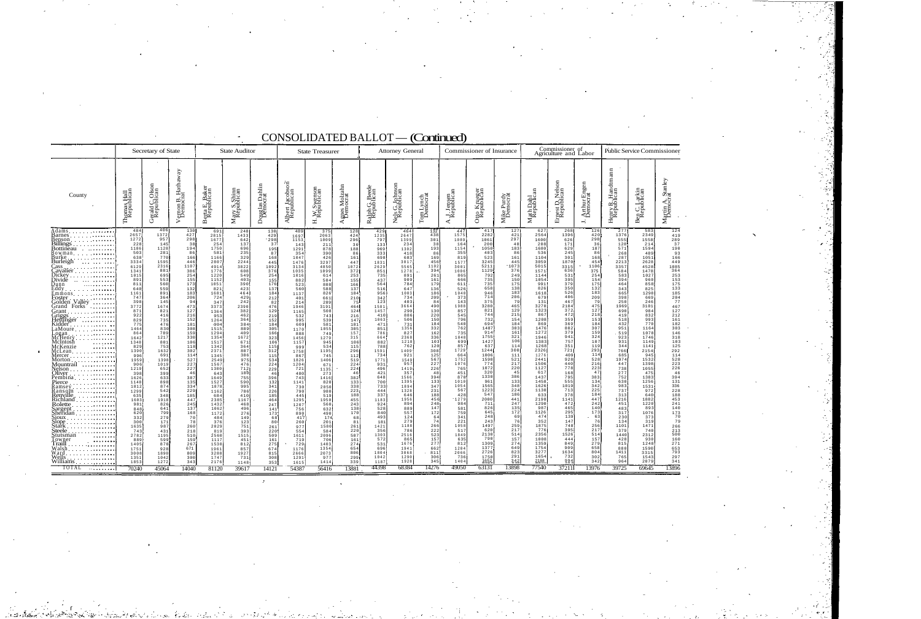|                                                                                                                                                                                                                                                                                                                                                                                                                                                                                                                                                                                                                                                                                                                                                       |                                                                                                                                                                                                                                                                                                                                                                                                                                                                                    |                                                                                                                                                                                                                                                                                                                                                                                                                                              |                                                                                                                                                                                                                                                                                                                                                                                                                                                                                                                                                                                                     |                                                                                                                                                                                                                                                                                                                                                                                                                                                                                                                                                                        |                                                                                                                                                                                                                                                                                                                                                                                                                                                                                                                                                        |                                                                                                                                                                                                                                                                                                                                                                                                                                                                                                                       |                                                                                                                                                                                                                                                                                                                                                                                                                                                                                                              | CONSOLIDATED BALLOT - (Continued)                                                                                                                                                                                                                                                                                                                                                                                                                                                                                                          |                                                                                                                                                                                                                                                                                                                                                                                                                                                                                                                                                                                                                                                                                         |                                                                                                                                                                                                                                                                                                                                                                                                                                                                                                                              |                                                                                                                                                                                                                                                                                                                                                                                                                                     |                                                                                                                                                                                                                                                                                                                                                                                                                                                                                                                                                 |                                                                                                                                                                                                                                                                                                                                                                                                                                                                                                                                                                                                                                   |                                                                                                                                                                                                                                                                                                                                                                                                                                                                                                                            |                                                                                                                                                                                                                                                                                                                                                                                                                                                                                                                |                                                                                                                                                                                                                                                                                                                                                                                                                                                                                                                                                              |                                                                                                                                                                                                                                                                                                                                                                                                                                 |                                                                                                                                                                                                                                                                                                                                                                                                                                                                                                                                                                                                                                                                              |                                                                                                                                                                                                                                                                                                                                                                                                      |                                                                                                                                                                                                                                                                                                                                                                                                                                  |                                                                                                                                                                                                                                                                                                                                                                                                                 |  |  |
|-------------------------------------------------------------------------------------------------------------------------------------------------------------------------------------------------------------------------------------------------------------------------------------------------------------------------------------------------------------------------------------------------------------------------------------------------------------------------------------------------------------------------------------------------------------------------------------------------------------------------------------------------------------------------------------------------------------------------------------------------------|------------------------------------------------------------------------------------------------------------------------------------------------------------------------------------------------------------------------------------------------------------------------------------------------------------------------------------------------------------------------------------------------------------------------------------------------------------------------------------|----------------------------------------------------------------------------------------------------------------------------------------------------------------------------------------------------------------------------------------------------------------------------------------------------------------------------------------------------------------------------------------------------------------------------------------------|-----------------------------------------------------------------------------------------------------------------------------------------------------------------------------------------------------------------------------------------------------------------------------------------------------------------------------------------------------------------------------------------------------------------------------------------------------------------------------------------------------------------------------------------------------------------------------------------------------|------------------------------------------------------------------------------------------------------------------------------------------------------------------------------------------------------------------------------------------------------------------------------------------------------------------------------------------------------------------------------------------------------------------------------------------------------------------------------------------------------------------------------------------------------------------------|--------------------------------------------------------------------------------------------------------------------------------------------------------------------------------------------------------------------------------------------------------------------------------------------------------------------------------------------------------------------------------------------------------------------------------------------------------------------------------------------------------------------------------------------------------|-----------------------------------------------------------------------------------------------------------------------------------------------------------------------------------------------------------------------------------------------------------------------------------------------------------------------------------------------------------------------------------------------------------------------------------------------------------------------------------------------------------------------|--------------------------------------------------------------------------------------------------------------------------------------------------------------------------------------------------------------------------------------------------------------------------------------------------------------------------------------------------------------------------------------------------------------------------------------------------------------------------------------------------------------|--------------------------------------------------------------------------------------------------------------------------------------------------------------------------------------------------------------------------------------------------------------------------------------------------------------------------------------------------------------------------------------------------------------------------------------------------------------------------------------------------------------------------------------------|-----------------------------------------------------------------------------------------------------------------------------------------------------------------------------------------------------------------------------------------------------------------------------------------------------------------------------------------------------------------------------------------------------------------------------------------------------------------------------------------------------------------------------------------------------------------------------------------------------------------------------------------------------------------------------------------|------------------------------------------------------------------------------------------------------------------------------------------------------------------------------------------------------------------------------------------------------------------------------------------------------------------------------------------------------------------------------------------------------------------------------------------------------------------------------------------------------------------------------|-------------------------------------------------------------------------------------------------------------------------------------------------------------------------------------------------------------------------------------------------------------------------------------------------------------------------------------------------------------------------------------------------------------------------------------|-------------------------------------------------------------------------------------------------------------------------------------------------------------------------------------------------------------------------------------------------------------------------------------------------------------------------------------------------------------------------------------------------------------------------------------------------------------------------------------------------------------------------------------------------|-----------------------------------------------------------------------------------------------------------------------------------------------------------------------------------------------------------------------------------------------------------------------------------------------------------------------------------------------------------------------------------------------------------------------------------------------------------------------------------------------------------------------------------------------------------------------------------------------------------------------------------|----------------------------------------------------------------------------------------------------------------------------------------------------------------------------------------------------------------------------------------------------------------------------------------------------------------------------------------------------------------------------------------------------------------------------------------------------------------------------------------------------------------------------|----------------------------------------------------------------------------------------------------------------------------------------------------------------------------------------------------------------------------------------------------------------------------------------------------------------------------------------------------------------------------------------------------------------------------------------------------------------------------------------------------------------|--------------------------------------------------------------------------------------------------------------------------------------------------------------------------------------------------------------------------------------------------------------------------------------------------------------------------------------------------------------------------------------------------------------------------------------------------------------------------------------------------------------------------------------------------------------|---------------------------------------------------------------------------------------------------------------------------------------------------------------------------------------------------------------------------------------------------------------------------------------------------------------------------------------------------------------------------------------------------------------------------------|------------------------------------------------------------------------------------------------------------------------------------------------------------------------------------------------------------------------------------------------------------------------------------------------------------------------------------------------------------------------------------------------------------------------------------------------------------------------------------------------------------------------------------------------------------------------------------------------------------------------------------------------------------------------------|------------------------------------------------------------------------------------------------------------------------------------------------------------------------------------------------------------------------------------------------------------------------------------------------------------------------------------------------------------------------------------------------------|----------------------------------------------------------------------------------------------------------------------------------------------------------------------------------------------------------------------------------------------------------------------------------------------------------------------------------------------------------------------------------------------------------------------------------|-----------------------------------------------------------------------------------------------------------------------------------------------------------------------------------------------------------------------------------------------------------------------------------------------------------------------------------------------------------------------------------------------------------------|--|--|
|                                                                                                                                                                                                                                                                                                                                                                                                                                                                                                                                                                                                                                                                                                                                                       |                                                                                                                                                                                                                                                                                                                                                                                                                                                                                    | Secretary of State                                                                                                                                                                                                                                                                                                                                                                                                                           |                                                                                                                                                                                                                                                                                                                                                                                                                                                                                                                                                                                                     |                                                                                                                                                                                                                                                                                                                                                                                                                                                                                                                                                                        | <b>State Auditor</b>                                                                                                                                                                                                                                                                                                                                                                                                                                                                                                                                   |                                                                                                                                                                                                                                                                                                                                                                                                                                                                                                                       |                                                                                                                                                                                                                                                                                                                                                                                                                                                                                                              | <b>State Treasurer</b>                                                                                                                                                                                                                                                                                                                                                                                                                                                                                                                     |                                                                                                                                                                                                                                                                                                                                                                                                                                                                                                                                                                                                                                                                                         |                                                                                                                                                                                                                                                                                                                                                                                                                                                                                                                              | <b>Attorney General</b>                                                                                                                                                                                                                                                                                                                                                                                                             |                                                                                                                                                                                                                                                                                                                                                                                                                                                                                                                                                 |                                                                                                                                                                                                                                                                                                                                                                                                                                                                                                                                                                                                                                   | Commissioner of Insurance                                                                                                                                                                                                                                                                                                                                                                                                                                                                                                  |                                                                                                                                                                                                                                                                                                                                                                                                                                                                                                                |                                                                                                                                                                                                                                                                                                                                                                                                                                                                                                                                                              | Commissioner of<br>Agriculture and Labor                                                                                                                                                                                                                                                                                                                                                                                        |                                                                                                                                                                                                                                                                                                                                                                                                                                                                                                                                                                                                                                                                              | Public Service Commissioner                                                                                                                                                                                                                                                                                                                                                                          |                                                                                                                                                                                                                                                                                                                                                                                                                                  |                                                                                                                                                                                                                                                                                                                                                                                                                 |  |  |
| County                                                                                                                                                                                                                                                                                                                                                                                                                                                                                                                                                                                                                                                                                                                                                | Thomas Hall<br>Republican                                                                                                                                                                                                                                                                                                                                                                                                                                                          | Gerald C.Olson<br>Republican                                                                                                                                                                                                                                                                                                                                                                                                                 | Vernon B. Hath<br>Democrat                                                                                                                                                                                                                                                                                                                                                                                                                                                                                                                                                                          | Berta E. Baker<br>Republican                                                                                                                                                                                                                                                                                                                                                                                                                                                                                                                                           | Mary S. Shinn<br>Républican                                                                                                                                                                                                                                                                                                                                                                                                                                                                                                                            | Douglas Dahlin<br>Démocrat                                                                                                                                                                                                                                                                                                                                                                                                                                                                                            | Albert Jacobson                                                                                                                                                                                                                                                                                                                                                                                                                                                                                              | H. W. Swenson<br>Republican                                                                                                                                                                                                                                                                                                                                                                                                                                                                                                                | Agnes Molzahn<br>Democrat                                                                                                                                                                                                                                                                                                                                                                                                                                                                                                                                                                                                                                                               | Ralph G. Beed<br>Republican                                                                                                                                                                                                                                                                                                                                                                                                                                                                                                  | Nels G. Johnson<br>Republican                                                                                                                                                                                                                                                                                                                                                                                                       | $\begin{array}{c} \textbf{TopLyuch} \\ \textbf{Democrat} \end{array}$                                                                                                                                                                                                                                                                                                                                                                                                                                                                           | A.J. Jensen<br>Republicar                                                                                                                                                                                                                                                                                                                                                                                                                                                                                                                                                                                                         | Otto Krueger<br>Republican                                                                                                                                                                                                                                                                                                                                                                                                                                                                                                 | Mike Purdy<br>Democrat                                                                                                                                                                                                                                                                                                                                                                                                                                                                                         | Math Dahl<br>Republican                                                                                                                                                                                                                                                                                                                                                                                                                                                                                                                                      | Ernest D. Nelsc<br>Republican                                                                                                                                                                                                                                                                                                                                                                                                   | J. Arthur Enger                                                                                                                                                                                                                                                                                                                                                                                                                                                                                                                                                                                                                                                              | Henry R. Handtmann<br>Republican                                                                                                                                                                                                                                                                                                                                                                     | Ben C. Larkin<br>Republican                                                                                                                                                                                                                                                                                                                                                                                                      | Martin A. Sta<br>Democrat                                                                                                                                                                                                                                                                                                                                                                                       |  |  |
| Adams<br>Barnes<br>Bottineau<br>Bowman<br>Burke $\ldots$<br>Burleigh<br>$\text{Qass}$<br>Cavalier<br>$Dickey$<br>Jividė<br>.<br>Dunn<br>Eddy<br>Emmons<br>Emmons<br>Foster<br>Golden Valley<br>Grand Forks<br>Grant.<br>. <b>.</b> .<br>Griggs.<br>Hettinger<br>Kidder<br>LaMoure<br>Logan<br>McHenry<br>McIntosh<br>.<br>4cKenzie<br>McLean<br>Mercer<br>Morton<br>Mountrail<br>Nelson $\dots$<br>Oliver $\cdots$<br>Pembina<br>Pierce<br>Ramsey<br>Ransom<br>Renville $\ldots$<br>Richland<br>Rolette $\ldots$<br>Sargent<br>Sheridan<br>$\text{S}$ joux $\cdots$<br>$\text{Slope}$<br>Stark<br>Steele<br>Stutsman <i></i><br>owner<br>$\sim$<br>Walsh $\cdots$<br>$W$ ard $\ldots$ $\ldots$ $\ldots$ $\ldots$<br>. <b>.</b><br>Williams<br>$TOTAL$ | 484<br>$\begin{bmatrix} 2657 \\ 1272 \end{bmatrix}$<br>228<br>$\begin{array}{c} 1186 \\ 503 \end{array}$<br>638<br>3334<br>6129<br>1341<br>1015<br>891<br>811<br>640<br>1161<br>747<br>391<br>3773<br>871<br>92<br>829<br>775<br>1464<br>864<br>1642<br>1348<br>829<br>1390<br>996<br>1959<br>906<br>1219<br>398<br>1626<br>1148<br>1812<br>1299<br>635<br>1603<br>981.<br>848<br>620<br>332<br>300<br>1635<br>743<br>2782<br>889<br>1405<br>1751<br>3008<br>1351<br>1853<br>70240 | 406<br>1372<br>957<br>145<br>$\begin{array}{r} 1128 \\ 281 \\ 770 \end{array}$<br>1595<br>2316<br>881<br>695<br>553<br>560<br>$\frac{559}{891}$<br>364<br>145<br>1674<br>821<br>416<br>735<br>476<br>830<br>789<br>1217<br>801<br>753<br>1632<br>691<br>1398<br>1019<br>652<br>399<br>633<br>898<br>874<br>542<br>348<br>1918<br>826<br>641<br>799<br>279<br>171<br>987<br>431<br>1195<br>599<br>870<br>928<br>1890<br>1042<br>1272<br>45064 | $\begin{array}{c} 130 \\ 427 \end{array}$<br>298<br>38<br>$\begin{array}{r} 194 \\ 86 \end{array}$<br>166<br>446<br>$\begin{array}{r} 1107 \\ 386 \\ 254 \end{array}$<br>155<br>$173$<br>$132$<br>$183$<br>206<br>، و<br>473<br>127<br>216<br>152<br>181<br>308<br>159<br>330<br>106<br>$\frac{118}{302}$<br>$\begin{array}{c} 114 \\ 527 \\ 227 \\ 227 \\ 46 \end{array}$<br>387<br>135<br>334<br>229<br>$\frac{185}{447}$<br>245<br>137<br>$\begin{bmatrix} 168 \\ 70 \\ 78 \end{bmatrix}$<br>260<br>218<br>510<br>$\begin{array}{c} 159 \\ 267 \end{array}$<br>671<br>809<br>300<br>343<br>14040 | 691<br>2815<br>$\begin{array}{r} 1677 \\ 254 \\ 1750 \\ 581 \end{array}$<br>1166<br>2807<br>4914<br>$1776$<br>$1220$<br>$\begin{array}{c} 1\,1\,5\,2 \\ 1\,0\,5\,1 \end{array}$<br>821<br>1681<br>724<br>347<br>3373<br>1364<br>953<br>1264<br>.904<br>1515<br>1294<br>1354<br>1517<br>1342<br>2371<br>1345<br>2549<br>1567<br>1300<br>643<br>1649<br>1527<br>1878<br>1162<br>684<br>2385<br>1432<br>1062<br>$\begin{bmatrix} 1 & 1 & 7 & 2 \\ 4 & 8 & 4 \\ 3 & 7 & 6 \end{bmatrix}$<br>2029.<br>.819<br>2560<br>1117<br>1530<br>1961<br>3288<br>1747<br>2176<br>81120 | $\begin{array}{r} 248 \\ 1433 \\ 642 \end{array}$<br>$\frac{137}{696}$<br>235<br>329<br>2244<br>$\begin{array}{r} 3822 \\ 608 \end{array}$<br>549<br>403<br>3901<br>423<br>464<br>429<br>242<br>2390<br>382<br>462<br>364<br>384<br>889<br>409<br>1672<br>671<br>364<br>807<br>$\begin{bmatrix} 3 & 8 & 6 \\ 9 & 7 & 5 \end{bmatrix}$<br>476<br>712<br>180<br>$755$<br>$590$<br>995<br>786<br>410<br>1167<br>468<br>496<br>276<br>149<br>123<br>$\begin{array}{c} 751 \\ 393 \end{array}$<br>1515<br>451<br>812<br>857<br>1927<br>731<br>1148<br>39617 | $\begin{array}{c} 1 \ 3 \ 0 \\ 4 \ 2 \ 9 \\ 2 \ 9 \ 8 \end{array}$<br>37 <sup>1</sup><br>195<br>8<br>168<br>445<br>$\begin{array}{c} 1092 \\ 376 \end{array}$<br>254<br>155<br>176<br>137<br>184<br>212<br>82<br>476<br>129<br>152<br>184<br>305<br>166<br>323<br>106<br>115<br>312<br>115<br>534<br>$\begin{bmatrix} 2 & 2 & 4 \\ 2 & 2 & 9 \end{bmatrix}$<br>46<br>396<br>132<br>341<br>226<br>185<br>464<br>247<br>141<br>1731<br>68<br>80<br>261<br>220<br>509<br>161<br>275<br>674<br>815<br>308<br>353<br>14121 | 489<br>$1697$<br>$1153$<br>143<br>1291<br>354<br>1047<br>1476<br>3134<br>1035<br>$\begin{array}{r} 1\ 0\ 1\ 6 \\ 8\ 8\ 2 \end{array}$<br>$\frac{523}{560}$<br>$\begin{array}{r} 1137 \\ 401 \\ 214 \\ 1946 \end{array}$<br>1165<br>532]<br>995<br>609<br>1170<br>888<br>1456<br>1157<br>999<br>1758<br>867<br>1826<br>$\frac{1204}{721}$<br>480<br>743<br>1141<br>730<br>790<br>445<br>1295<br>1207<br>756<br>890<br>417<br>260<br>977<br>554<br>1611<br>719<br>729<br>1176<br>2666<br>1291<br>1615<br>54387 | 375<br>$2063$<br>$1009$<br>211<br>878<br>390<br>426<br>$\begin{array}{c} 3\ 2\ 9\ 7 \\ 4\ 8\ 5\ 0 \end{array}$<br>1099<br>614<br>504<br>$\begin{bmatrix} 8 & 0 & 8 \\ 5 & 8 & 8 \end{bmatrix}$<br>826<br>661<br>$\begin{array}{c} 289 \\ 3191 \end{array}$<br>508<br>743<br>539<br>581<br>1055<br>749<br>1279<br>945<br>534<br>1195<br>745<br>1406<br>671<br>1135<br>273<br>1416<br>820<br>2050<br>980<br>519<br>1950<br>560<br>632<br>$490$<br>$174$<br>201<br>1580<br>584<br>2096<br>706<br>1403<br>1354<br>2073<br>977<br>1414<br>56416 | $\begin{array}{r} 128 \\ 424 \\ 296 \\ 36 \\ 36 \\ 188 \end{array}$<br>86<br>$\begin{array}{r} 161 \\ 447 \\ 1072 \\ 372 \end{array}$<br>$\begin{bmatrix} 2 & 5 & 3 \\ 1 & 5 & 5 \\ 1 & 6 & 6 \\ 1 & 3 & 7 \\ 1 & 8 & 4 \\ \end{bmatrix}$<br>210<br>$\begin{smallmatrix} 4 & 6 & 4 \\ 1 & 2 & 4 \end{smallmatrix}$<br>216<br>147<br>$\begin{array}{c} 131 \\ 305 \\ 157 \\ 315 \\ 106 \end{array}$<br>$\frac{115}{296}$<br>112<br>519<br>$\begin{array}{c} 224 \\ 224 \\ 46 \end{array}$<br>382<br>133<br>338<br>223<br>188<br>455<br>243<br>$\begin{bmatrix} 1 & 3 & 8 \\ 1 & 7 & 0 \end{bmatrix}$<br>68<br>81<br>261<br>220<br>507<br>161<br>274<br>654<br>806<br>299<br>339<br>13881 | 429<br>$\begin{array}{r} 1235 \\ 797 \\ 133 \\ 969 \end{array}$<br>333<br>698<br>$\begin{array}{c} 1831 \\ 2629 \\ 851 \end{array}$<br>735<br>$\begin{array}{r} 733 \\ 437 \\ 564 \\ 516 \\ 956 \\ 342 \\ 123 \\ 1581 \\ 1430 \end{array}$<br>410<br>1063<br>471<br>851<br>$786$<br>$664$<br>$882$<br>788<br>1591<br>734<br>1771<br>931<br>$496$<br>$421$<br>$648$<br>$700$<br>$733$<br>444<br>337<br>$1183$<br>924<br>528<br>840<br>493<br>181<br>1421<br>356<br>1303<br>572<br>531<br>696<br>1804<br>1042<br>1187<br>44398 | $-464$<br>2647<br>1399<br>234<br>1302<br>418<br>683<br>3017<br>$5565$<br>$1278$<br>891<br>909<br>784<br>647<br>1003<br>734<br>403<br>3664<br>290<br>886<br>$-506$<br>731<br>1356<br>827<br>2368<br>1218<br>762<br>1409<br>921<br>1549<br>957<br>1419<br>357<br>1566<br>1395<br>1894<br>1328<br>646<br>1956<br>894<br>889<br>557<br>124<br>279<br>$\frac{1188}{786}$<br>2516<br>865<br>1676<br>1941<br>3068<br>1290<br>1928<br>68384 | $\begin{array}{c} 132 \\ 438 \\ 301 \end{array}$<br>38<br>193<br>86<br>$\frac{169}{456}$<br>$\begin{bmatrix} 1 & 1 & 0 & 2 \\ 3 & 9 & 4 \end{bmatrix}$<br>261<br>161<br>179<br>136<br>186<br>209<br>84<br>490<br>$\begin{array}{c} 130 \\ 220 \end{array}$<br>15C<br>184<br>332<br>162<br>336<br>103<br>120<br>308<br>125<br>567<br>227<br>226<br>48<br>394<br>133<br>347<br>231<br>188<br>456<br>2481<br>$147$<br>$172$<br>64<br>74.<br>266<br>$\begin{array}{c} 222 \\ 523 \end{array}$<br>157<br>277'<br>662<br>. 811<br>306<br>345<br>14276 | $447$<br>1575<br>1089<br>$\begin{array}{c} 1\ 6\ 4 \\ 1\ 1\ 5\ 4 \\ 3\ 5\ 5 \end{array}$<br>819<br>1577<br>3001<br>$1006$<br>865<br>$666$<br>$611$<br>$526$<br>$\begin{array}{r} 1\ 0\ 4\ 0 \\ 3\ 7\ 3 \\ 1\ 4\ 3 \end{array}$<br>1988<br>857<br>545<br>796<br>540<br>762<br>735<br>$1048$<br>699<br>857<br>1729<br>664<br>1752<br>$\frac{1076}{765}$<br>$\begin{matrix} 4 & 5 & 1 \\ 8 & 7 & 0 \end{matrix}$<br>1010<br>1054<br>567<br>428<br>$\begin{array}{r} 1279 \\ 984 \\ 581 \\ 759 \end{array}$<br>$\begin{array}{c} 341 \\ 221 \end{array}$<br>1058<br>517<br>1849<br>635<br>812<br>1204<br>2066<br>736<br>1404<br>49050 | $\begin{array}{c} 417 \\ 2282 \end{array}$<br>1061<br>$\begin{smallmatrix} 2 & 0 & 0 \\ 1 & 0 & 5 & 0 \end{smallmatrix}$<br>$403$<br>523<br>3245<br>5211<br>5211<br>1129<br>792<br>735<br>735<br>$658$ $946$ $714$ $375$ $3280$<br>$\frac{821}{744}$<br>$732$<br>694<br>1487<br>914<br>1755<br>1427<br>637<br>1244<br>1006<br>1598<br>774<br>1072<br>320<br>1330<br>961<br>1565<br>1223<br>547<br>2000<br>$711$<br>826<br>645<br>248<br>243<br>1497<br>620<br>2130<br>790<br>1309<br>1377<br>2726<br>1750<br>1652<br>63131 | $\begin{array}{r} 127 \\ 421 \\ 297 \end{array}$<br>$\begin{smallmatrix} 4 & 0 \\ 1 & 8 & 3 \\ 8 & 6 \end{smallmatrix}$<br>161<br>445<br>$\begin{array}{r} 1073 \\ 376 \end{array}$<br>249<br>150<br>175<br>138<br>183<br>206<br>79<br>465<br>129<br>215<br>154<br>184<br>303<br>161<br>321<br>106<br>114<br>300<br>$111$<br>521<br>217<br>220<br>45<br>386<br>133<br>348<br>224<br>186<br>441<br>247<br>135<br>172<br>$\frac{69}{76}$<br>259<br>217<br>514<br>157<br>274<br>649<br>823<br>291<br>342<br>13898 | $\begin{array}{c} 627 \\ 2564 \end{array}$<br>1600<br>$\frac{208}{1680}$<br>536<br>1104<br>$\begin{array}{r} 1101 \\ 3059 \\ 5015 \\ 1571 \\ 1144 \\ 1054 \end{array}$<br>991<br>826<br>1618<br>679<br>131<br>3270<br>1323<br>86<br>1208<br>869<br>1476<br>1272<br>1946<br>1383<br>1268<br>2326<br>1276<br>2441<br>1506<br>1127<br>61<br>1437<br>$1458_1$<br>1626<br>1130<br>633<br>2198<br>1290<br>987<br>$\begin{bmatrix} 1 & 1 & 2 & 6 \\ 4 & 7 & 4 \end{bmatrix}$<br>352<br>1875<br>776<br>2356<br>1008<br>1359<br>1754<br>327'<br>1654<br>2188<br>77540 | 268<br>1396<br>626<br>$\begin{array}{c} 171 \\ 629 \\ 245 \end{array}$<br>301<br>1870<br>3315<br>636<br>531<br>395<br>379<br>350<br>526<br>406<br>467<br>2104<br>372<br>472<br>359<br>369<br>802<br>379<br>941<br>757<br>351<br>721<br>409<br>928<br>440<br>778<br>168<br>795<br>555<br>1019<br>713<br>378<br>1141<br>472<br>465<br>295<br>139<br>147<br>748<br>395<br>1526<br>444<br>849<br>909<br>1634<br>732<br>994<br>37211 | $\frac{126}{420}$<br>298<br>$36^{3}$<br>$187$<br>86<br>168<br>454<br>1106<br>$\begin{array}{c} 3\,7\,5 \\ 2\,5\,4 \\ 1\,5\,4 \\ \end{array}$<br>175<br>$\begin{bmatrix} 1 & 3 & 2 \\ 1 & 8 & 3 \\ 2 & 0 & 9 \end{bmatrix}$<br>79<br>$\begin{smallmatrix}4&7&5\\1&2&7\end{smallmatrix}$<br>218<br>153<br>$\frac{184}{307}$<br>$\begin{smallmatrix}1 & 5 & 9\\3 & 2 & 4\end{smallmatrix}$<br>107<br>119<br>293<br>114<br>528<br>$216$<br>$223$<br>47<br>383<br>$\begin{array}{c} 134 \\ 342 \\ 225 \\ 184 \end{array}$<br>447<br>$\begin{array}{c} 242 \\ 140 \\ 173 \end{array}$<br>$-63$<br>76<br>256<br>$217$<br>$514$<br>$157$<br>279<br>658<br>804<br>302<br>342<br>13976 | -27'<br>1376<br>555<br>128<br>571<br>268<br>287<br>2213<br>3357<br>584<br>583<br>394<br>464<br>343<br>665<br>398<br>250<br>1969<br>690<br>419<br>518<br>432<br>951<br>.519<br>923<br>931<br>344<br>766<br>685<br>1974<br>447<br>738<br>277<br>752<br>630<br>983<br>737<br>313<br>1216<br>451<br>483<br>317<br>230<br>134<br>1101<br>379.<br>1440<br>428<br>815<br>880<br>1411<br>765<br>964<br>39725 | 583<br>2349<br>1558<br>$214$<br>$1594$<br>489<br>1051<br>2628<br>4528<br>1478<br>1027<br>960<br>858<br>$825$<br>$1298$<br>669<br>246<br>3101<br>984<br>832<br>993<br>770<br>1164<br>1078<br>1746<br>1149<br>1141<br>2154<br>945<br>1532<br>1398<br>1055<br>475<br>1383<br>1256<br>1531<br>972<br>640<br>1882<br>1220<br>893<br>1076<br>373<br>319<br>1471<br>740<br>2312<br>930<br>1248<br>1590<br>3315<br>1543<br>2079<br>69645 | 124<br>419<br>289<br>37<br>190<br>93<br>166<br>449<br>1085<br>364<br>253<br>153<br>175<br>$\frac{133}{185}$<br>$\frac{185}{204}$<br>77<br>$\frac{467}{127}$<br>212<br>161<br>182<br>303<br>146<br>318<br>103<br>125<br>292<br>114<br>528<br>223<br>226<br>46<br>394<br>131<br>336<br>228<br>188<br>453<br>241<br>140<br>173<br>70<br>79<br>266<br>213<br>500<br>160<br>271<br>653<br>793<br>297<br>341<br>13896 |  |  |
|                                                                                                                                                                                                                                                                                                                                                                                                                                                                                                                                                                                                                                                                                                                                                       |                                                                                                                                                                                                                                                                                                                                                                                                                                                                                    |                                                                                                                                                                                                                                                                                                                                                                                                                                              |                                                                                                                                                                                                                                                                                                                                                                                                                                                                                                                                                                                                     |                                                                                                                                                                                                                                                                                                                                                                                                                                                                                                                                                                        |                                                                                                                                                                                                                                                                                                                                                                                                                                                                                                                                                        |                                                                                                                                                                                                                                                                                                                                                                                                                                                                                                                       |                                                                                                                                                                                                                                                                                                                                                                                                                                                                                                              |                                                                                                                                                                                                                                                                                                                                                                                                                                                                                                                                            |                                                                                                                                                                                                                                                                                                                                                                                                                                                                                                                                                                                                                                                                                         |                                                                                                                                                                                                                                                                                                                                                                                                                                                                                                                              |                                                                                                                                                                                                                                                                                                                                                                                                                                     |                                                                                                                                                                                                                                                                                                                                                                                                                                                                                                                                                 |                                                                                                                                                                                                                                                                                                                                                                                                                                                                                                                                                                                                                                   |                                                                                                                                                                                                                                                                                                                                                                                                                                                                                                                            |                                                                                                                                                                                                                                                                                                                                                                                                                                                                                                                |                                                                                                                                                                                                                                                                                                                                                                                                                                                                                                                                                              |                                                                                                                                                                                                                                                                                                                                                                                                                                 |                                                                                                                                                                                                                                                                                                                                                                                                                                                                                                                                                                                                                                                                              |                                                                                                                                                                                                                                                                                                                                                                                                      |                                                                                                                                                                                                                                                                                                                                                                                                                                  |                                                                                                                                                                                                                                                                                                                                                                                                                 |  |  |